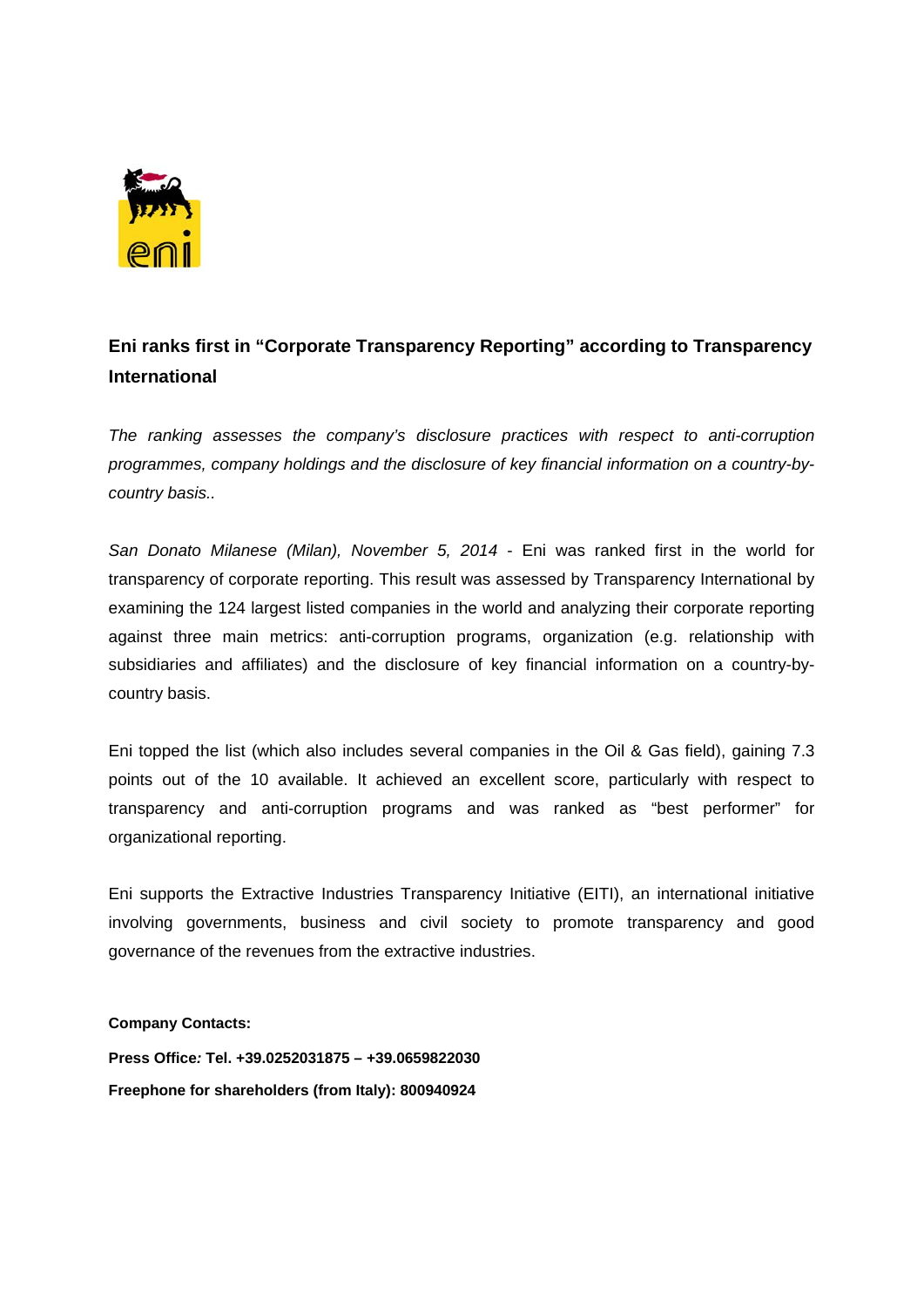

## **Eni ranks first in "Corporate Transparency Reporting" according to Transparency International**

*The ranking assesses the company's disclosure practices with respect to anti-corruption programmes, company holdings and the disclosure of key financial information on a country-bycountry basis..* 

*San Donato Milanese (Milan), November 5, 2014* - Eni was ranked first in the world for transparency of corporate reporting. This result was assessed by Transparency International by examining the 124 largest listed companies in the world and analyzing their corporate reporting against three main metrics: anti-corruption programs, organization (e.g. relationship with subsidiaries and affiliates) and the disclosure of key financial information on a country-bycountry basis.

Eni topped the list (which also includes several companies in the Oil & Gas field), gaining 7.3 points out of the 10 available. It achieved an excellent score, particularly with respect to transparency and anti-corruption programs and was ranked as "best performer" for organizational reporting.

Eni supports the Extractive Industries Transparency Initiative (EITI), an international initiative involving governments, business and civil society to promote transparency and good governance of the revenues from the extractive industries.

**Company Contacts:** 

**Press Office***:* **Tel. +39.0252031875 – +39.0659822030 Freephone for shareholders (from Italy): 800940924**